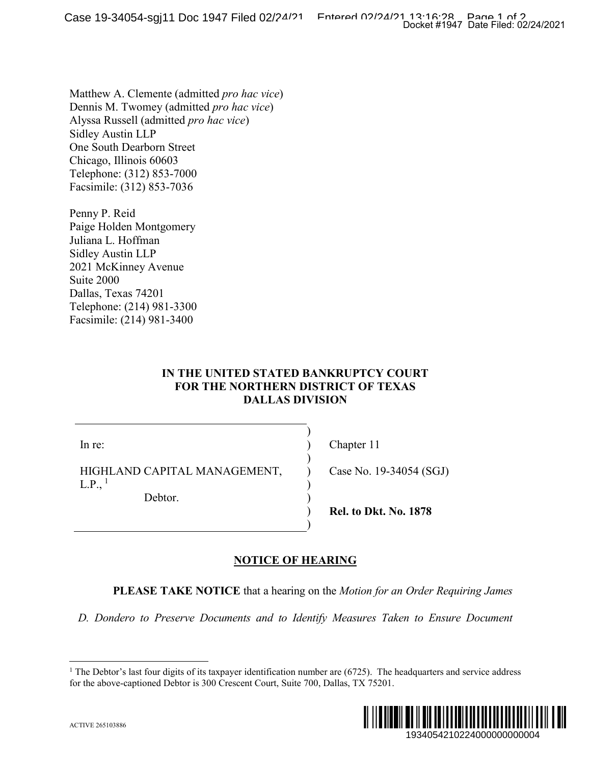Matthew A. Clemente (admitted *pro hac vice*) Dennis M. Twomey (admitted *pro hac vice*) Alyssa Russell (admitted *pro hac vice*) Sidley Austin LLP One South Dearborn Street Chicago, Illinois 60603 Telephone: (312) 853-7000 Facsimile: (312) 853-7036

Penny P. Reid Paige Holden Montgomery Juliana L. Hoffman Sidley Austin LLP 2021 McKinney Avenue Suite 2000 Dallas, Texas 74201 Telephone: (214) 981-3300 Facsimile: (214) 981-3400

### **IN THE UNITED STATED BANKRUPTCY COURT FOR THE NORTHERN DISTRICT OF TEXAS DALLAS DIVISION**

) ) ) ) ) ) ) )

In re:

HIGHLAND CAPITAL MANAGEMENT,  $L.P.,<sup>1</sup>$  $L.P.,<sup>1</sup>$  $L.P.,<sup>1</sup>$ 

Debtor.

Chapter 11

Case No. 19-34054 (SGJ)

**Rel. to Dkt. No. 1878**

# **NOTICE OF HEARING**

**PLEASE TAKE NOTICE** that a hearing on the *Motion for an Order Requiring James* 

<span id="page-0-0"></span>*D. Dondero to Preserve Documents and to Identify Measures Taken to Ensure Document* 

<sup>&</sup>lt;sup>1</sup> The Debtor's last four digits of its taxpayer identification number are (6725). The headquarters and service address for the above-captioned Debtor is 300 Crescent Court, Suite 700, Dallas, TX 75201.